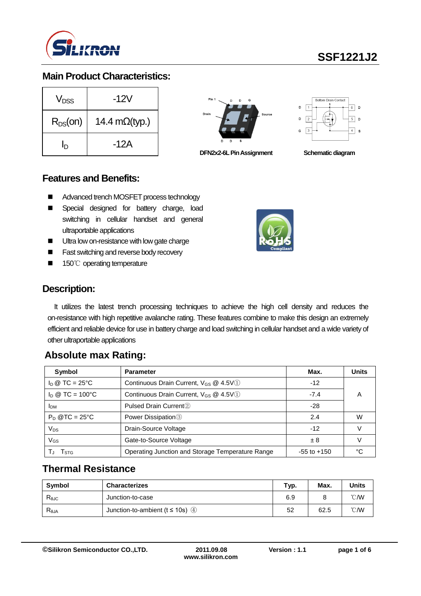

### **Main Product Characteristics:**

| V <sub>DSS</sub> | -12V                   |
|------------------|------------------------|
| $R_{DS}(on)$     | 14.4 m $\Omega$ (typ.) |
| ln               | -12A                   |







#### **Features and Benefits:**

- Advanced trench MOSFET process technology
- **Special designed for battery charge, load** switching in cellular handset and general ultraportable applications
- **Ultra low on-resistance with low gate charge**
- Fast switching and reverse body recovery
- 150℃ operating temperature



## **Description:**

It utilizes the latest trench processing techniques to achieve the high cell density and reduces the on-resistance with high repetitive avalanche rating. These features combine to make this design an extremely efficient and reliable device for use in battery charge and load switching in cellular handset and a wide variety of other ultraportable applications

## **Absolute max Rating:**

| Symbol                         | <b>Parameter</b>                                  | Max.            | <b>Units</b> |
|--------------------------------|---------------------------------------------------|-----------------|--------------|
| $I_D \otimes TC = 25^{\circ}C$ | Continuous Drain Current, $V_{GS}$ @ 4.5V(1)      | $-12$           |              |
| $I_D @ TC = 100°C$             | Continuous Drain Current, V <sub>GS</sub> @ 4.5V1 | $-7.4$          | A            |
| <b>I</b> <sub>DM</sub>         | Pulsed Drain Current <sup>2</sup>                 | $-28$           |              |
| $P_D$ @TC = 25°C               | Power Dissipation <sup>3</sup>                    | 2.4             | W            |
| $V_{DS}$                       | Drain-Source Voltage                              | $-12$           |              |
| V <sub>GS</sub>                | Gate-to-Source Voltage                            | ± 8             |              |
| l stg                          | Operating Junction and Storage Temperature Range  | $-55$ to $+150$ |              |

## **Thermal Resistance**

| Symbol         | <b>Characterizes</b>                    | Typ. | Max. | Units          |
|----------------|-----------------------------------------|------|------|----------------|
| $R_{\theta$ JC | Junction-to-case                        | 6.9  |      | $^{\circ}$ CMV |
| $R_{\theta$ JA | Junction-to-ambient ( $t \le 10$ s) (4) | 52   | 62.5 | $^{\circ}$ CMV |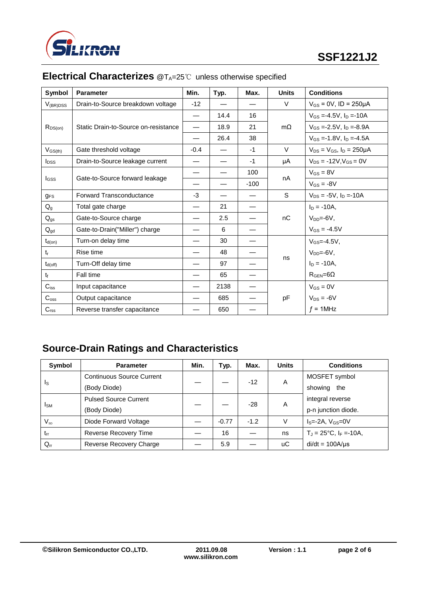

| Symbol           | <b>Parameter</b>                     | Min.   | Typ. | Max.   | <b>Units</b> | <b>Conditions</b>                     |
|------------------|--------------------------------------|--------|------|--------|--------------|---------------------------------------|
| $V_{(BR)DSS}$    | Drain-to-Source breakdown voltage    | $-12$  |      |        | $\vee$       | $V_{GS} = 0V$ , ID = 250µA            |
|                  |                                      |        | 14.4 | 16     |              | $V_{GS} = -4.5V$ , $I_D = -10A$       |
| $R_{DS(on)}$     | Static Drain-to-Source on-resistance |        | 18.9 | 21     | $m\Omega$    | $V_{GS} = -2.5V$ , $I_D = -8.9A$      |
|                  |                                      |        | 26.4 | 38     |              | $V_{GS} = -1.8V$ , $I_D = -4.5A$      |
| $V_{GS(th)}$     | Gate threshold voltage               | $-0.4$ |      | $-1$   | $\vee$       | $V_{DS} = V_{GS}$ , $I_D = 250 \mu A$ |
| $I_{DSS}$        | Drain-to-Source leakage current      |        |      | $-1$   | μA           | $V_{DS} = -12V$ , $V_{GS} = 0V$       |
|                  |                                      |        |      | 100    |              | $V_{GS} = 8V$                         |
| <b>I</b> GSS     | Gate-to-Source forward leakage       |        |      | $-100$ | nA           | $V_{GS} = -8V$                        |
| <b>gFS</b>       | Forward Transconductance             | $-3$   |      |        | S            | $V_{DS} = -5V$ , $I_D = -10A$         |
| $Q_{g}$          | Total gate charge                    |        | 21   |        |              | $I_D = -10A$ ,                        |
| $Q_{gs}$         | Gate-to-Source charge                |        | 2.5  |        | nC           | $V_{DD} = -6V$ ,                      |
| $Q_{gd}$         | Gate-to-Drain("Miller") charge       |        | 6    |        |              | $V_{GS} = -4.5V$                      |
| $t_{d(on)}$      | Turn-on delay time                   |        | 30   |        |              | $V_{GS} = -4.5V,$                     |
| $t_{r}$          | Rise time                            |        | 48   |        |              | $V_{DD} = -6V$ ,                      |
| $t_{d(off)}$     | Turn-Off delay time                  |        | 97   |        | ns           | $I_D = -10A$ ,                        |
| $t_{\rm f}$      | Fall time                            |        | 65   |        |              | $R_{\text{GEN}} = 6\Omega$            |
| $C_{iss}$        | Input capacitance                    |        | 2138 |        |              | $V_{GS} = 0V$                         |
| $C_{\text{oss}}$ | Output capacitance                   |        | 685  |        | pF           | $V_{DS} = -6V$                        |
| $C_{\text{rss}}$ | Reverse transfer capacitance         |        | 650  |        |              | $f = 1$ MHz                           |

# **Electrical Characterizes** @T<sub>A</sub>=25℃ unless otherwise specified

# **Source-Drain Ratings and Characteristics**

| Symbol                  | <b>Parameter</b>                 | Min. | Typ.    | Max.   | <b>Units</b> | <b>Conditions</b>                    |
|-------------------------|----------------------------------|------|---------|--------|--------------|--------------------------------------|
| $\mathsf{I}_\mathsf{S}$ | <b>Continuous Source Current</b> |      |         | $-12$  | A            | MOSFET symbol                        |
|                         | (Body Diode)                     |      |         |        |              | showing<br>the                       |
| <b>I</b> sm             | <b>Pulsed Source Current</b>     |      |         | $-28$  | Α            | integral reverse                     |
|                         | (Body Diode)                     |      |         |        |              | p-n junction diode.                  |
| $V_{SD}$                | Diode Forward Voltage            |      | $-0.77$ | $-1.2$ | V            | $IS=-2A, VGS=0V$                     |
| $t_{rr}$                | Reverse Recovery Time            |      | 16      |        | ns           | $T_J = 25^{\circ}C$ , $I_F = -10A$ , |
| $Q_{rr}$                | Reverse Recovery Charge          |      | 5.9     |        | иC           | $di/dt = 100A/\mu s$                 |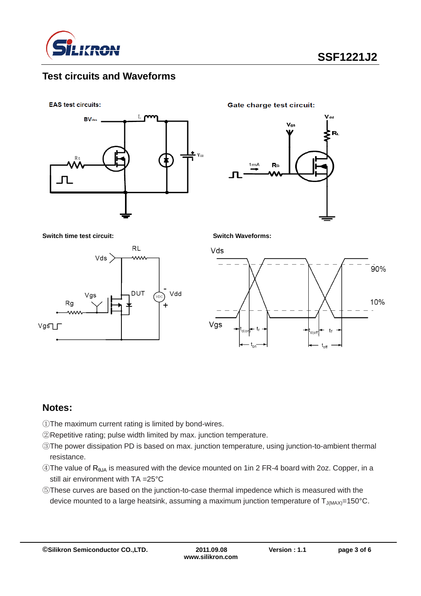

### **Test circuits and Waveforms**

**EAS test circuits:** 



**Gate charge test circuit:** 



**Switch time test circuit: Switch Waveforms:**



Vds



### **Notes:**

- ①The maximum current rating is limited by bond-wires.
- ②Repetitive rating; pulse width limited by max. junction temperature.
- ③The power dissipation PD is based on max. junction temperature, using junction-to-ambient thermal resistance.
- ④The value of RθJA is measured with the device mounted on 1in 2 FR-4 board with 2oz. Copper, in a still air environment with TA =25°C
- ⑤These curves are based on the junction-to-case thermal impedence which is measured with the device mounted to a large heatsink, assuming a maximum junction temperature of  $T_{J(MAX)}$ =150°C.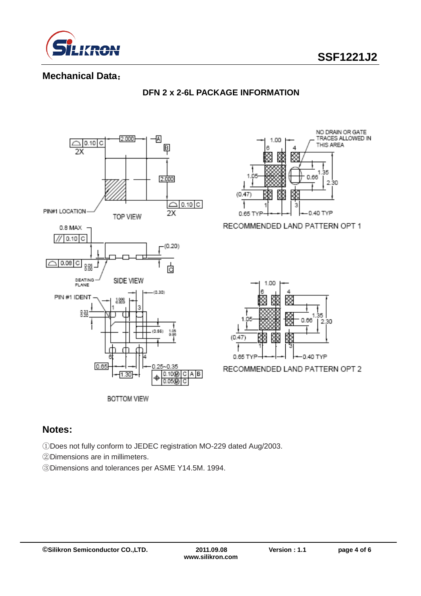

### **Mechanical Data**:



#### **DFN 2 x 2-6L PACKAGE INFORMATION**



RECOMMENDED LAND PATTERN OPT 1



RECOMMENDED LAND PATTERN OPT 2

### **Notes:**

①Does not fully conform to JEDEC registration MO-229 dated Aug/2003.

②Dimensions are in millimeters.

③Dimensions and tolerances per ASME Y14.5M. 1994.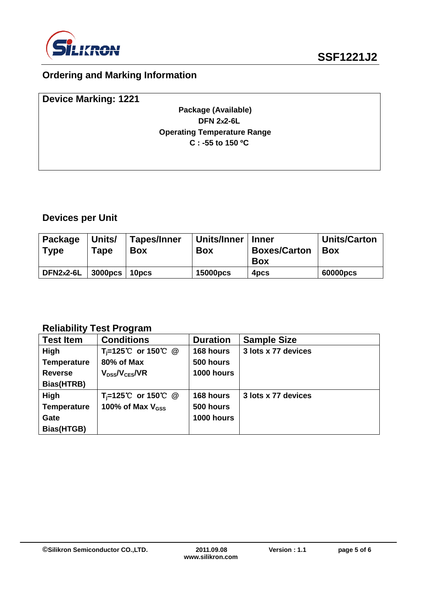

# **Ordering and Marking Information**

| <b>Device Marking: 1221</b> |                                    |  |
|-----------------------------|------------------------------------|--|
|                             | Package (Available)                |  |
|                             | <b>DFN 2x2-6L</b>                  |  |
|                             | <b>Operating Temperature Range</b> |  |
|                             | $C: -55$ to 150 °C                 |  |
|                             |                                    |  |

# **Devices per Unit**

| <b>Package</b><br><b>Type</b> | Units/<br>$\tau$ ape | <b>Tapes/Inner</b><br><b>Box</b> | Units/Inner<br><b>Box</b> | <b>Inner</b><br><b>Boxes/Carton</b><br><b>Box</b> | <b>Units/Carton</b><br><b>Box</b> |
|-------------------------------|----------------------|----------------------------------|---------------------------|---------------------------------------------------|-----------------------------------|
| DFN2x2-6L                     | <b>3000pcs</b>       | 10 <sub>DCS</sub>                | <b>15000pcs</b>           | 4 <sub>pcs</sub>                                  | 60000pcs                          |

## **Reliability Test Program**

| <b>Test Item</b>   | <b>Conditions</b>               | <b>Duration</b> | <b>Sample Size</b>  |
|--------------------|---------------------------------|-----------------|---------------------|
| High               | $T_i=125^{\circ}C$ or 150 °C @  | 168 hours       | 3 lots x 77 devices |
| <b>Temperature</b> | 80% of Max                      | 500 hours       |                     |
| <b>Reverse</b>     | $V_{DSs}/V_{CES}/VR$            | 1000 hours      |                     |
| Bias(HTRB)         |                                 |                 |                     |
| High               | $T_i = 125^{\circ}$ or 150 °C @ | 168 hours       | 3 lots x 77 devices |
| <b>Temperature</b> | 100% of Max $V_{\rm dss}$       | 500 hours       |                     |
| Gate               |                                 | 1000 hours      |                     |
| Bias(HTGB)         |                                 |                 |                     |